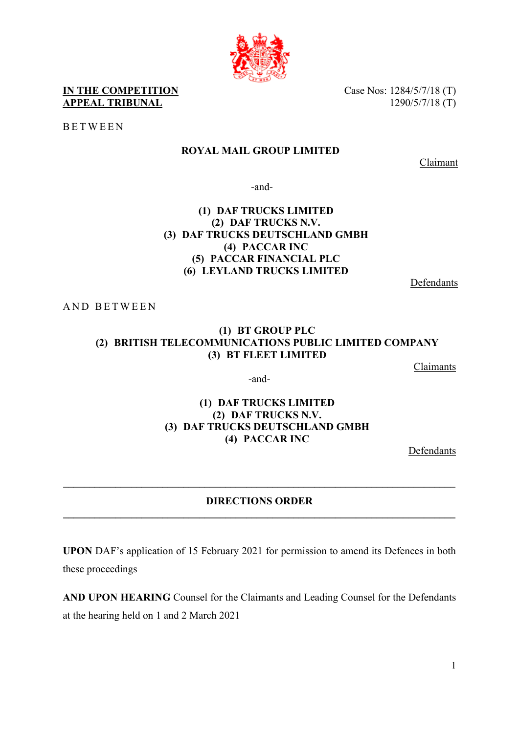**IN THE COMPETITION** Case Nos: 1284/5/7/18 (T) **APPEAL TRIBUNAL** 1290/5/7/18 (T)

BETWEEN

## **ROYAL MAIL GROUP LIMITED**

Claimant

-and-

### **(1) DAF TRUCKS LIMITED (2) DAF TRUCKS N.V. (3) DAF TRUCKS DEUTSCHLAND GMBH (4) PACCAR INC (5) PACCAR FINANCIAL PLC (6) LEYLAND TRUCKS LIMITED**

Defendants

AND BETWEEN

### **(1) BT GROUP PLC (2) BRITISH TELECOMMUNICATIONS PUBLIC LIMITED COMPANY (3) BT FLEET LIMITED**

Claimants

-and-

### **(1) DAF TRUCKS LIMITED (2) DAF TRUCKS N.V. (3) DAF TRUCKS DEUTSCHLAND GMBH (4) PACCAR INC**

Defendants

### **DIRECTIONS ORDER \_\_\_\_\_\_\_\_\_\_\_\_\_\_\_\_\_\_\_\_\_\_\_\_\_\_\_\_\_\_\_\_\_\_\_\_\_\_\_\_\_\_\_\_\_\_\_\_\_\_\_\_\_\_\_\_\_\_\_\_\_\_\_\_\_\_\_\_\_\_\_\_\_\_\_**

**\_\_\_\_\_\_\_\_\_\_\_\_\_\_\_\_\_\_\_\_\_\_\_\_\_\_\_\_\_\_\_\_\_\_\_\_\_\_\_\_\_\_\_\_\_\_\_\_\_\_\_\_\_\_\_\_\_\_\_\_\_\_\_\_\_\_\_\_\_\_\_\_\_\_\_** 

**UPON** DAF's application of 15 February 2021 for permission to amend its Defences in both these proceedings

**AND UPON HEARING** Counsel for the Claimants and Leading Counsel for the Defendants at the hearing held on 1 and 2 March 2021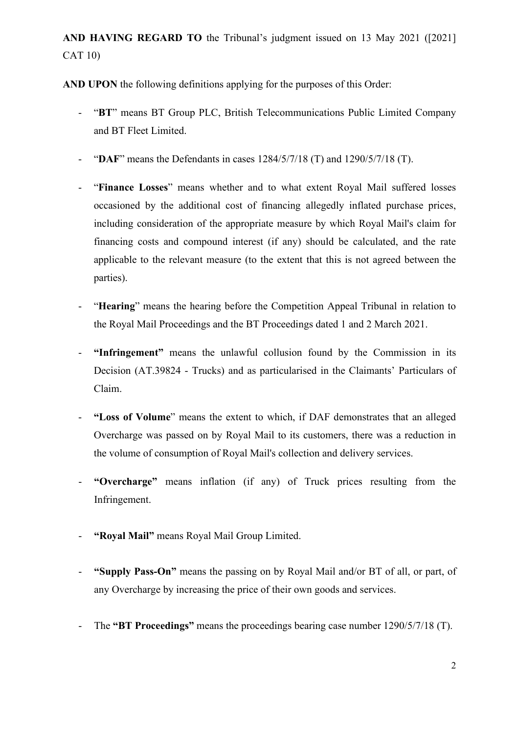**AND HAVING REGARD TO** the Tribunal's judgment issued on 13 May 2021 ([2021] CAT 10)

**AND UPON** the following definitions applying for the purposes of this Order:

- "**BT**" means BT Group PLC, British Telecommunications Public Limited Company and BT Fleet Limited.
- "**DAF**" means the Defendants in cases 1284/5/7/18 (T) and 1290/5/7/18 (T).
- "**Finance Losses**" means whether and to what extent Royal Mail suffered losses occasioned by the additional cost of financing allegedly inflated purchase prices, including consideration of the appropriate measure by which Royal Mail's claim for financing costs and compound interest (if any) should be calculated, and the rate applicable to the relevant measure (to the extent that this is not agreed between the parties).
- "**Hearing**" means the hearing before the Competition Appeal Tribunal in relation to the Royal Mail Proceedings and the BT Proceedings dated 1 and 2 March 2021.
- **"Infringement"** means the unlawful collusion found by the Commission in its Decision (AT.39824 - Trucks) and as particularised in the Claimants' Particulars of Claim.
- **"Loss of Volume**" means the extent to which, if DAF demonstrates that an alleged Overcharge was passed on by Royal Mail to its customers, there was a reduction in the volume of consumption of Royal Mail's collection and delivery services.
- **"Overcharge"** means inflation (if any) of Truck prices resulting from the Infringement.
- "Royal Mail" means Royal Mail Group Limited.
- **"Supply Pass-On"** means the passing on by Royal Mail and/or BT of all, or part, of any Overcharge by increasing the price of their own goods and services.
- The **"BT Proceedings"** means the proceedings bearing case number 1290/5/7/18 (T).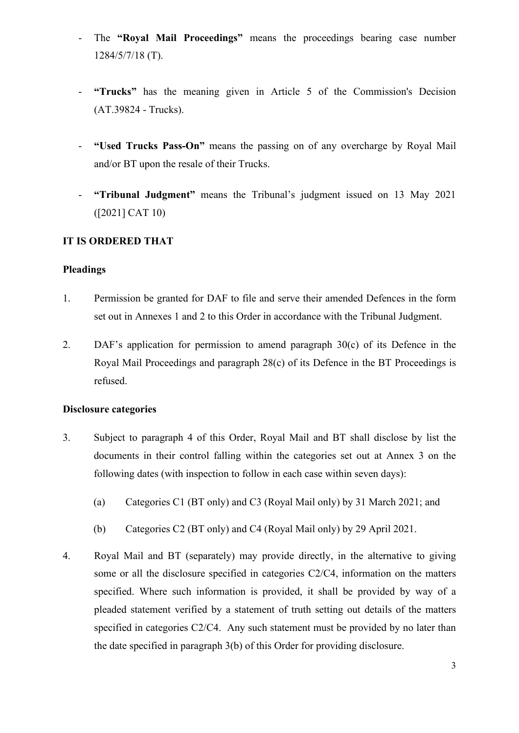- The "Royal Mail Proceedings" means the proceedings bearing case number 1284/5/7/18 (T).
- **"Trucks"** has the meaning given in Article 5 of the Commission's Decision (AT.39824 - Trucks).
- **"Used Trucks Pass-On"** means the passing on of any overcharge by Royal Mail and/or BT upon the resale of their Trucks.
- **"Tribunal Judgment"** means the Tribunal's judgment issued on 13 May 2021 ([2021] CAT 10)

### **IT IS ORDERED THAT**

### **Pleadings**

- 1. Permission be granted for DAF to file and serve their amended Defences in the form set out in Annexes 1 and 2 to this Order in accordance with the Tribunal Judgment.
- 2. DAF's application for permission to amend paragraph 30(c) of its Defence in the Royal Mail Proceedings and paragraph 28(c) of its Defence in the BT Proceedings is refused.

#### **Disclosure categories**

- 3. Subject to paragraph 4 of this Order, Royal Mail and BT shall disclose by list the documents in their control falling within the categories set out at Annex 3 on the following dates (with inspection to follow in each case within seven days):
	- (a) Categories C1 (BT only) and C3 (Royal Mail only) by 31 March 2021; and
	- (b) Categories C2 (BT only) and C4 (Royal Mail only) by 29 April 2021.
- 4. Royal Mail and BT (separately) may provide directly, in the alternative to giving some or all the disclosure specified in categories C2/C4, information on the matters specified. Where such information is provided, it shall be provided by way of a pleaded statement verified by a statement of truth setting out details of the matters specified in categories C2/C4. Any such statement must be provided by no later than the date specified in paragraph 3(b) of this Order for providing disclosure.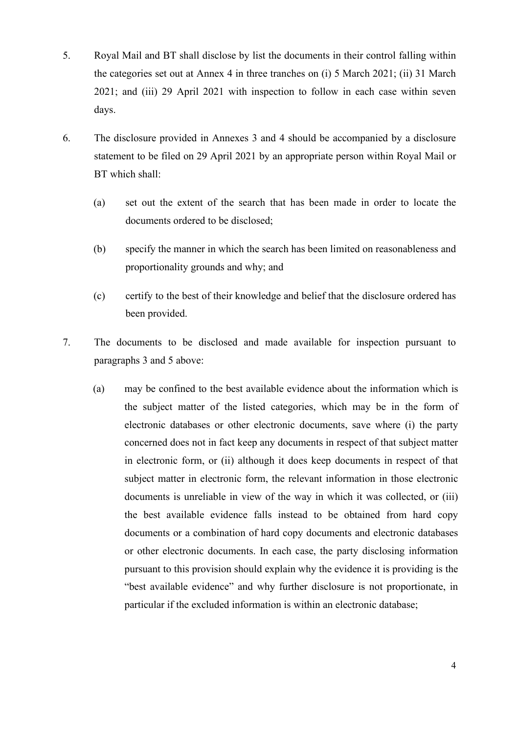- 5. Royal Mail and BT shall disclose by list the documents in their control falling within the categories set out at Annex 4 in three tranches on (i) 5 March 2021; (ii) 31 March 2021; and (iii) 29 April 2021 with inspection to follow in each case within seven days.
- 6. The disclosure provided in Annexes 3 and 4 should be accompanied by a disclosure statement to be filed on 29 April 2021 by an appropriate person within Royal Mail or BT which shall:
	- (a) set out the extent of the search that has been made in order to locate the documents ordered to be disclosed;
	- (b) specify the manner in which the search has been limited on reasonableness and proportionality grounds and why; and
	- (c) certify to the best of their knowledge and belief that the disclosure ordered has been provided.
- 7. The documents to be disclosed and made available for inspection pursuant to paragraphs 3 and 5 above:
	- (a) may be confined to the best available evidence about the information which is the subject matter of the listed categories, which may be in the form of electronic databases or other electronic documents, save where (i) the party concerned does not in fact keep any documents in respect of that subject matter in electronic form, or (ii) although it does keep documents in respect of that subject matter in electronic form, the relevant information in those electronic documents is unreliable in view of the way in which it was collected, or (iii) the best available evidence falls instead to be obtained from hard copy documents or a combination of hard copy documents and electronic databases or other electronic documents. In each case, the party disclosing information pursuant to this provision should explain why the evidence it is providing is the "best available evidence" and why further disclosure is not proportionate, in particular if the excluded information is within an electronic database;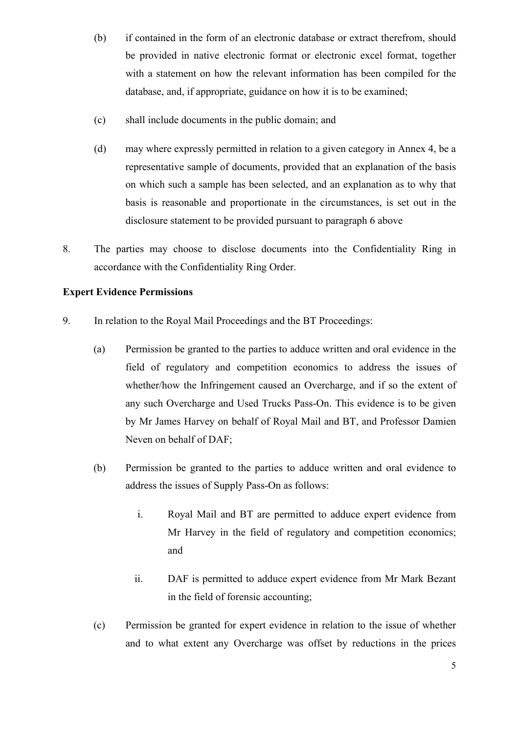- (b) if contained in the form of an electronic database or extract therefrom, should be provided in native electronic format or electronic excel format, together with a statement on how the relevant information has been compiled for the database, and, if appropriate, guidance on how it is to be examined;
- (c) shall include documents in the public domain; and
- (d) may where expressly permitted in relation to a given category in Annex 4, be a representative sample of documents, provided that an explanation of the basis on which such a sample has been selected, and an explanation as to why that basis is reasonable and proportionate in the circumstances, is set out in the disclosure statement to be provided pursuant to paragraph 6 above
- 8. The parties may choose to disclose documents into the Confidentiality Ring in accordance with the Confidentiality Ring Order.

### **Expert Evidence Permissions**

- 9. In relation to the Royal Mail Proceedings and the BT Proceedings:
	- (a) Permission be granted to the parties to adduce written and oral evidence in the field of regulatory and competition economics to address the issues of whether/how the Infringement caused an Overcharge, and if so the extent of any such Overcharge and Used Trucks Pass-On. This evidence is to be given by Mr James Harvey on behalf of Royal Mail and BT, and Professor Damien Neven on behalf of DAF;
	- (b) Permission be granted to the parties to adduce written and oral evidence to address the issues of Supply Pass-On as follows:
		- i. Royal Mail and BT are permitted to adduce expert evidence from Mr Harvey in the field of regulatory and competition economics; and
		- ii. DAF is permitted to adduce expert evidence from Mr Mark Bezant in the field of forensic accounting;
	- (c) Permission be granted for expert evidence in relation to the issue of whether and to what extent any Overcharge was offset by reductions in the prices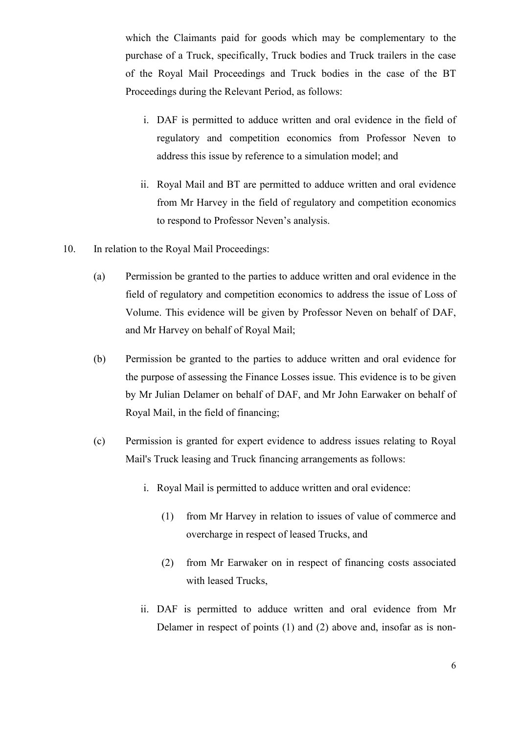which the Claimants paid for goods which may be complementary to the purchase of a Truck, specifically, Truck bodies and Truck trailers in the case of the Royal Mail Proceedings and Truck bodies in the case of the BT Proceedings during the Relevant Period, as follows:

- i. DAF is permitted to adduce written and oral evidence in the field of regulatory and competition economics from Professor Neven to address this issue by reference to a simulation model; and
- ii. Royal Mail and BT are permitted to adduce written and oral evidence from Mr Harvey in the field of regulatory and competition economics to respond to Professor Neven's analysis.
- 10. In relation to the Royal Mail Proceedings:
	- (a) Permission be granted to the parties to adduce written and oral evidence in the field of regulatory and competition economics to address the issue of Loss of Volume. This evidence will be given by Professor Neven on behalf of DAF, and Mr Harvey on behalf of Royal Mail;
	- (b) Permission be granted to the parties to adduce written and oral evidence for the purpose of assessing the Finance Losses issue. This evidence is to be given by Mr Julian Delamer on behalf of DAF, and Mr John Earwaker on behalf of Royal Mail, in the field of financing;
	- (c) Permission is granted for expert evidence to address issues relating to Royal Mail's Truck leasing and Truck financing arrangements as follows:
		- i. Royal Mail is permitted to adduce written and oral evidence:
			- (1) from Mr Harvey in relation to issues of value of commerce and overcharge in respect of leased Trucks, and
			- (2) from Mr Earwaker on in respect of financing costs associated with leased Trucks,
		- ii. DAF is permitted to adduce written and oral evidence from Mr Delamer in respect of points (1) and (2) above and, insofar as is non-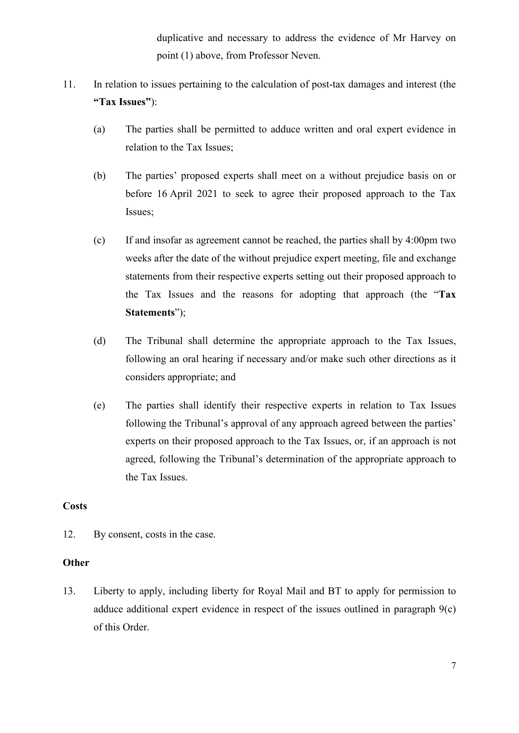duplicative and necessary to address the evidence of Mr Harvey on point (1) above, from Professor Neven.

- 11. In relation to issues pertaining to the calculation of post-tax damages and interest (the **"Tax Issues"**):
	- (a) The parties shall be permitted to adduce written and oral expert evidence in relation to the Tax Issues;
	- (b) The parties' proposed experts shall meet on a without prejudice basis on or before 16 April 2021 to seek to agree their proposed approach to the Tax Issues;
	- (c) If and insofar as agreement cannot be reached, the parties shall by 4:00pm two weeks after the date of the without prejudice expert meeting, file and exchange statements from their respective experts setting out their proposed approach to the Tax Issues and the reasons for adopting that approach (the "**Tax Statements**");
	- (d) The Tribunal shall determine the appropriate approach to the Tax Issues, following an oral hearing if necessary and/or make such other directions as it considers appropriate; and
	- (e) The parties shall identify their respective experts in relation to Tax Issues following the Tribunal's approval of any approach agreed between the parties' experts on their proposed approach to the Tax Issues, or, if an approach is not agreed, following the Tribunal's determination of the appropriate approach to the Tax Issues.

### **Costs**

12. By consent, costs in the case.

### **Other**

13. Liberty to apply, including liberty for Royal Mail and BT to apply for permission to adduce additional expert evidence in respect of the issues outlined in paragraph 9(c) of this Order.